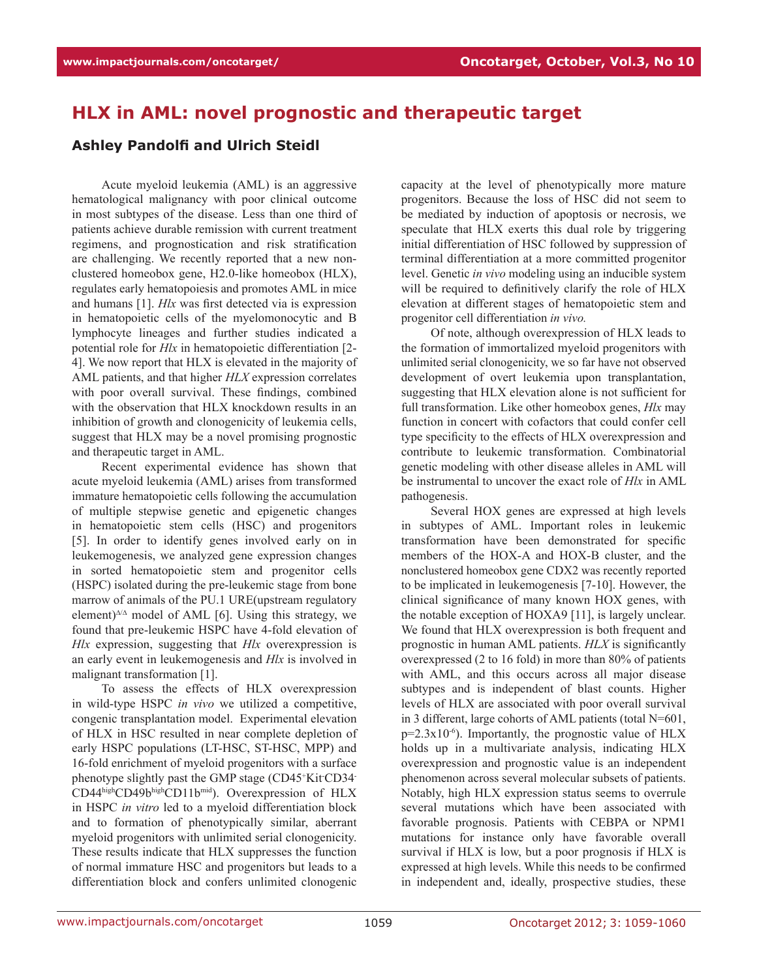## **HLX in AML: novel prognostic and therapeutic target**

## **Ashley Pandolfi and Ulrich Steidl**

Acute myeloid leukemia (AML) is an aggressive hematological malignancy with poor clinical outcome in most subtypes of the disease. Less than one third of patients achieve durable remission with current treatment regimens, and prognostication and risk stratification are challenging. We recently reported that a new nonclustered homeobox gene, H2.0-like homeobox (HLX), regulates early hematopoiesis and promotes AML in mice and humans [1]. *Hlx* was first detected via is expression in hematopoietic cells of the myelomonocytic and B lymphocyte lineages and further studies indicated a potential role for *Hlx* in hematopoietic differentiation [2- 4]. We now report that HLX is elevated in the majority of AML patients, and that higher *HLX* expression correlates with poor overall survival. These findings, combined with the observation that HLX knockdown results in an inhibition of growth and clonogenicity of leukemia cells, suggest that HLX may be a novel promising prognostic and therapeutic target in AML.

Recent experimental evidence has shown that acute myeloid leukemia (AML) arises from transformed immature hematopoietic cells following the accumulation of multiple stepwise genetic and epigenetic changes in hematopoietic stem cells (HSC) and progenitors [5]. In order to identify genes involved early on in leukemogenesis, we analyzed gene expression changes in sorted hematopoietic stem and progenitor cells (HSPC) isolated during the pre-leukemic stage from bone marrow of animals of the PU.1 URE(upstream regulatory element)∆/∆ model of AML [6]. Using this strategy, we found that pre-leukemic HSPC have 4-fold elevation of *Hlx* expression, suggesting that *Hlx* overexpression is an early event in leukemogenesis and *Hlx* is involved in malignant transformation [1].

To assess the effects of HLX overexpression in wild-type HSPC *in vivo* we utilized a competitive, congenic transplantation model. Experimental elevation of HLX in HSC resulted in near complete depletion of early HSPC populations (LT-HSC, ST-HSC, MPP) and 16-fold enrichment of myeloid progenitors with a surface phenotype slightly past the GMP stage (CD45+Kit-CD34-CD44highCD49bhighCD11bmid). Overexpression of HLX in HSPC *in vitro* led to a myeloid differentiation block and to formation of phenotypically similar, aberrant myeloid progenitors with unlimited serial clonogenicity. These results indicate that HLX suppresses the function of normal immature HSC and progenitors but leads to a differentiation block and confers unlimited clonogenic capacity at the level of phenotypically more mature progenitors. Because the loss of HSC did not seem to be mediated by induction of apoptosis or necrosis, we speculate that HLX exerts this dual role by triggering initial differentiation of HSC followed by suppression of terminal differentiation at a more committed progenitor level. Genetic *in vivo* modeling using an inducible system will be required to definitively clarify the role of HLX elevation at different stages of hematopoietic stem and progenitor cell differentiation *in vivo.*

Of note, although overexpression of HLX leads to the formation of immortalized myeloid progenitors with unlimited serial clonogenicity, we so far have not observed development of overt leukemia upon transplantation, suggesting that HLX elevation alone is not sufficient for full transformation. Like other homeobox genes, *Hlx* may function in concert with cofactors that could confer cell type specificity to the effects of HLX overexpression and contribute to leukemic transformation. Combinatorial genetic modeling with other disease alleles in AML will be instrumental to uncover the exact role of *Hlx* in AML pathogenesis.

Several HOX genes are expressed at high levels in subtypes of AML. Important roles in leukemic transformation have been demonstrated for specific members of the HOX-A and HOX-B cluster, and the nonclustered homeobox gene CDX2 was recently reported to be implicated in leukemogenesis [7-10]. However, the clinical significance of many known HOX genes, with the notable exception of HOXA9 [11], is largely unclear. We found that HLX overexpression is both frequent and prognostic in human AML patients. *HLX* is significantly overexpressed (2 to 16 fold) in more than 80% of patients with AML, and this occurs across all major disease subtypes and is independent of blast counts. Higher levels of HLX are associated with poor overall survival in 3 different, large cohorts of AML patients (total N=601,  $p=2.3x10^{-6}$ ). Importantly, the prognostic value of HLX holds up in a multivariate analysis, indicating HLX overexpression and prognostic value is an independent phenomenon across several molecular subsets of patients. Notably, high HLX expression status seems to overrule several mutations which have been associated with favorable prognosis. Patients with CEBPA or NPM1 mutations for instance only have favorable overall survival if HLX is low, but a poor prognosis if HLX is expressed at high levels. While this needs to be confirmed in independent and, ideally, prospective studies, these